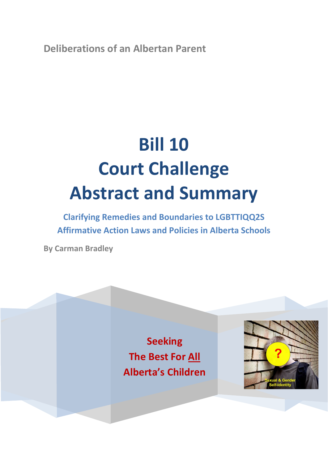**Deliberations of an Albertan Parent**

# **Bill 10 Court Challenge Abstract and Summary**

**Clarifying Remedies and Boundaries to LGBTTIQQ2S Affirmative Action Laws and Policies in Alberta Schools**

**By Carman Bradley**

**Seeking The Best For All Alberta's Children**